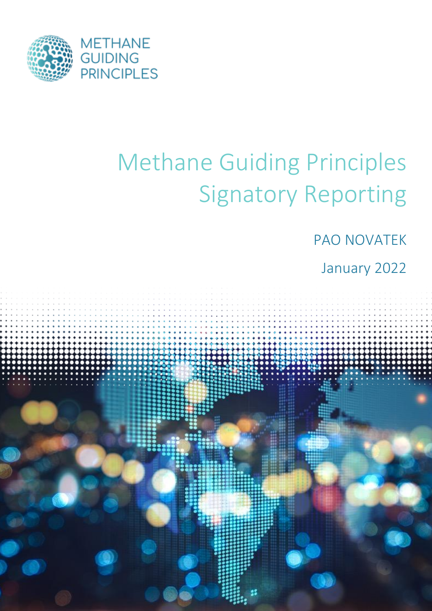

# Methane Guiding Principles Signatory Reporting

## PAO NOVATEK

## January 2022

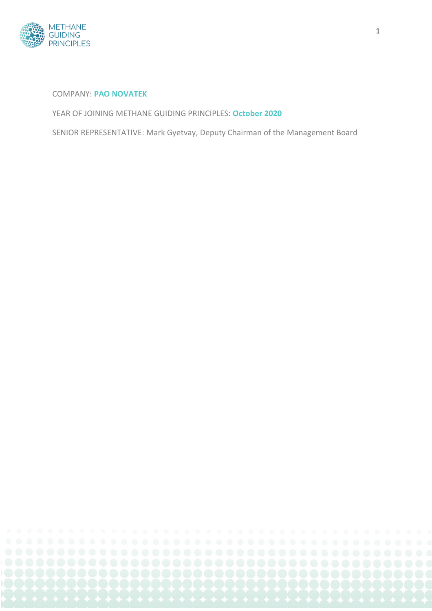

#### COMPANY: **PAO NOVATEK**

YEAR OF JOINING METHANE GUIDING PRINCIPLES: **October 2020**

SENIOR REPRESENTATIVE: Mark Gyetvay, Deputy Chairman of the Management Board

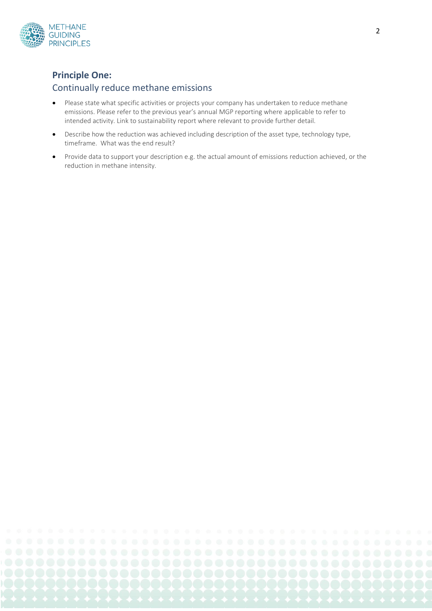

#### **Principle One:**

#### Continually reduce methane emissions

- Please state what specific activities or projects your company has undertaken to reduce methane emissions. Please refer to the previous year's annual MGP reporting where applicable to refer to intended activity. Link to sustainability report where relevant to provide further detail.
- Describe how the reduction was achieved including description of the asset type, technology type, timeframe. What was the end result?
- Provide data to support your description e.g. the actual amount of emissions reduction achieved, or the reduction in methane intensity.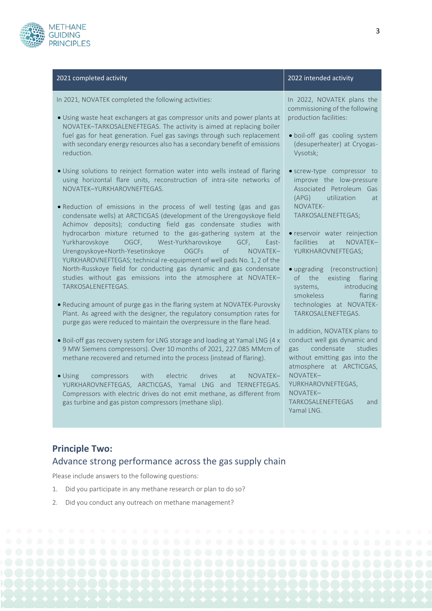

#### 2021 completed activity 2022 intended activity

In 2021, NOVATEK completed the following activities:

- Using waste heat exchangers at gas compressor units and power plants at NOVATEK–TARKOSALENEFTEGAS. The activity is aimed at replacing boiler fuel gas for heat generation. Fuel gas savings through such replacement with secondary energy resources also has a secondary benefit of emissions reduction.
- Using solutions to reinject formation water into wells instead of flaring using horizontal flare units, reconstruction of intra-site networks of NOVATEK–YURKHAROVNEFTEGAS.
- Reduction of emissions in the process of well testing (gas and gas condensate wells) at ARCTICGAS (development of the Urengoyskoye field Achimov deposits); conducting field gas condensate studies with hydrocarbon mixture returned to the gas-gathering system at the Yurkharovskoye OGCF, West-Yurkharovskoye GCF, East-Urengoyskoye+North-Yesetinskoye OGCFs of NOVATEK– YURKHAROVNEFTEGAS; technical re-equipment of well pads No. 1, 2 of the North-Russkoye field for conducting gas dynamic and gas condensate studies without gas emissions into the atmosphere at NOVATEK– TARKOSALENEFTEGAS.
- Reducing amount of purge gas in the flaring system at NOVATEK-Purovsky Plant. As agreed with the designer, the regulatory consumption rates for purge gas were reduced to maintain the overpressure in the flare head.
- Boil-off gas recovery system for LNG storage and loading at Yamal LNG (4 x 9 MW Siemens compressors). Over 10 months of 2021, 227.085 MMcm of methane recovered and returned into the process (instead of flaring).
- Using compressors with electric drives at NOVATEK– YURKHAROVNEFTEGAS, ARCTICGAS, Yamal LNG and TERNEFTEGAS. Compressors with electric drives do not emit methane, as different from gas turbine and gas piston compressors (methane slip).

In 2022, NOVATEK plans the commissioning of the following production facilities:

- boil-off gas cooling system (desuperheater) at Cryogas-Vysotsk;
- screw-type compressor to improve the low-pressure Associated Petroleum Gas (APG) utilization at NOVATEK-TARKOSALENEFTEGAS;
- reservoir water reinjection facilities at NOVATEK– YURKHAROVNEFTEGAS;
- upgrading (reconstruction) of the existing flaring systems, introducing smokeless flaring technologies at NOVATEK-TARKOSALENEFTEGAS.

In addition, NOVATEK plans to conduct well gas dynamic and gas condensate studies without emitting gas into the atmosphere at ARCTICGAS, NOVATEK– YURKHAROVNEFTEGAS, NOVATEK– TARKOSALENEFTEGAS and Yamal LNG.

#### **Principle Two:**  Advance strong performance across the gas supply chain

Please include answers to the following questions:

- 1. Did you participate in any methane research or plan to do so?
- 2. Did you conduct any outreach on methane management?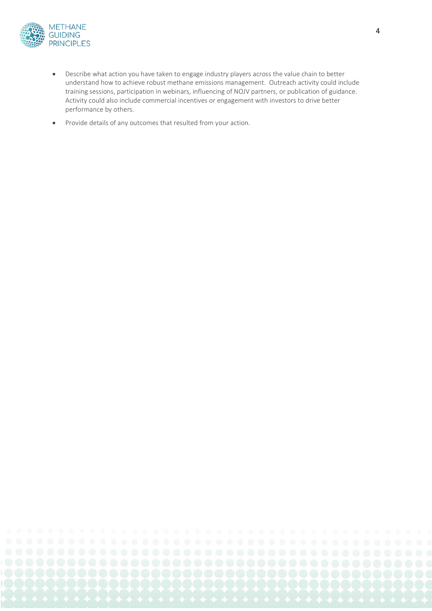

- Describe what action you have taken to engage industry players across the value chain to better understand how to achieve robust methane emissions management. Outreach activity could include training sessions, participation in webinars, influencing of NOJV partners, or publication of guidance. Activity could also include commercial incentives or engagement with investors to drive better performance by others.
- Provide details of any outcomes that resulted from your action.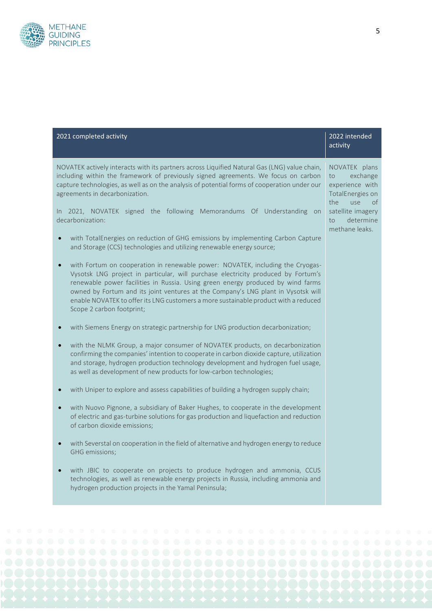

| 2021 completed activity                                                                                                                                                                                                                                                                                                                                                                                                                                         | 2022 intended<br>activity                                                                  |
|-----------------------------------------------------------------------------------------------------------------------------------------------------------------------------------------------------------------------------------------------------------------------------------------------------------------------------------------------------------------------------------------------------------------------------------------------------------------|--------------------------------------------------------------------------------------------|
| NOVATEK actively interacts with its partners across Liquified Natural Gas (LNG) value chain,<br>including within the framework of previously signed agreements. We focus on carbon<br>capture technologies, as well as on the analysis of potential forms of cooperation under our<br>agreements in decarbonization.                                                                                                                                            | NOVATEK plans<br>exchange<br>to<br>experience with<br>TotalEnergies on<br>the<br>use<br>0f |
| In 2021, NOVATEK signed the following Memorandums Of Understanding on<br>decarbonization:                                                                                                                                                                                                                                                                                                                                                                       | satellite imagery<br>determine<br>to<br>methane leaks.                                     |
| with TotalEnergies on reduction of GHG emissions by implementing Carbon Capture<br>and Storage (CCS) technologies and utilizing renewable energy source;                                                                                                                                                                                                                                                                                                        |                                                                                            |
| with Fortum on cooperation in renewable power: NOVATEK, including the Cryogas-<br>Vysotsk LNG project in particular, will purchase electricity produced by Fortum's<br>renewable power facilities in Russia. Using green energy produced by wind farms<br>owned by Fortum and its joint ventures at the Company's LNG plant in Vysotsk will<br>enable NOVATEK to offer its LNG customers a more sustainable product with a reduced<br>Scope 2 carbon footprint; |                                                                                            |
| with Siemens Energy on strategic partnership for LNG production decarbonization;                                                                                                                                                                                                                                                                                                                                                                                |                                                                                            |
| with the NLMK Group, a major consumer of NOVATEK products, on decarbonization<br>confirming the companies' intention to cooperate in carbon dioxide capture, utilization<br>and storage, hydrogen production technology development and hydrogen fuel usage,<br>as well as development of new products for low-carbon technologies;                                                                                                                             |                                                                                            |
| with Uniper to explore and assess capabilities of building a hydrogen supply chain;                                                                                                                                                                                                                                                                                                                                                                             |                                                                                            |
| with Nuovo Pignone, a subsidiary of Baker Hughes, to cooperate in the development<br>of electric and gas-turbine solutions for gas production and liquefaction and reduction<br>of carbon dioxide emissions;                                                                                                                                                                                                                                                    |                                                                                            |
| with Severstal on cooperation in the field of alternative and hydrogen energy to reduce<br>GHG emissions;                                                                                                                                                                                                                                                                                                                                                       |                                                                                            |
| with JBIC to cooperate on projects to produce hydrogen and ammonia, CCUS<br>technologies, as well as renewable energy projects in Russia, including ammonia and<br>hydrogen production projects in the Yamal Peninsula;                                                                                                                                                                                                                                         |                                                                                            |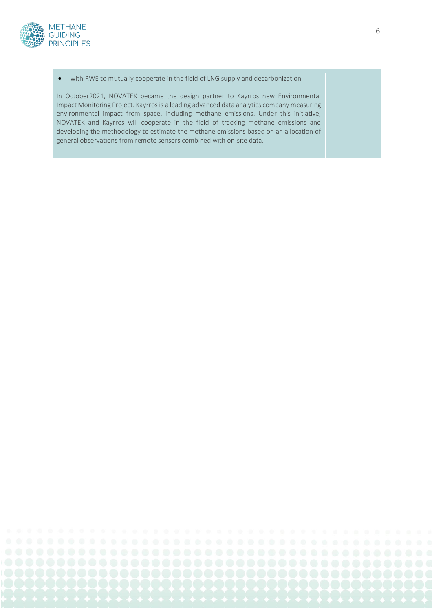

• with RWE to mutually cooperate in the field of LNG supply and decarbonization.

In October2021, NOVATEK became the design partner to Kayrros new Environmental Impact Monitoring Project. Kayrros is a leading advanced data analytics company measuring environmental impact from space, including methane emissions. Under this initiative, NOVATEK and Kayrros will cooperate in the field of tracking methane emissions and developing the methodology to estimate the methane emissions based on an allocation of general observations from remote sensors combined with on-site data.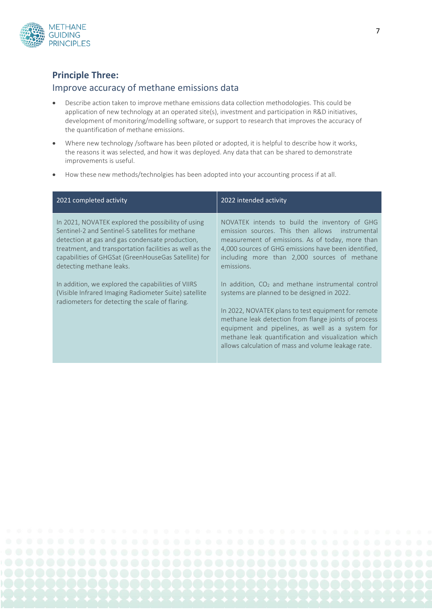

#### **Principle Three:**

#### Improve accuracy of methane emissions data

- Describe action taken to improve methane emissions data collection methodologies. This could be application of new technology at an operated site(s), investment and participation in R&D initiatives, development of monitoring/modelling software, or support to research that improves the accuracy of the quantification of methane emissions.
- Where new technology /software has been piloted or adopted, it is helpful to describe how it works, the reasons it was selected, and how it was deployed. Any data that can be shared to demonstrate improvements is useful.
- How these new methods/technolgies has been adopted into your accounting process if at all.

| 2021 completed activity                                                                                                                                                                                                                                                                                  | 2022 intended activity                                                                                                                                                                                                                                                                                                                                                              |
|----------------------------------------------------------------------------------------------------------------------------------------------------------------------------------------------------------------------------------------------------------------------------------------------------------|-------------------------------------------------------------------------------------------------------------------------------------------------------------------------------------------------------------------------------------------------------------------------------------------------------------------------------------------------------------------------------------|
| In 2021, NOVATEK explored the possibility of using<br>Sentinel-2 and Sentinel-5 satellites for methane<br>detection at gas and gas condensate production,<br>treatment, and transportation facilities as well as the<br>capabilities of GHGSat (GreenHouseGas Satellite) for<br>detecting methane leaks. | NOVATEK intends to build the inventory of GHG<br>emission sources. This then allows instrumental<br>measurement of emissions. As of today, more than<br>4,000 sources of GHG emissions have been identified,<br>including more than 2,000 sources of methane<br>emissions.                                                                                                          |
| In addition, we explored the capabilities of VIIRS<br>(Visible Infrared Imaging Radiometer Suite) satellite<br>radiometers for detecting the scale of flaring.                                                                                                                                           | In addition, $CO2$ and methane instrumental control<br>systems are planned to be designed in 2022.<br>In 2022, NOVATEK plans to test equipment for remote<br>methane leak detection from flange joints of process<br>equipment and pipelines, as well as a system for<br>methane leak quantification and visualization which<br>allows calculation of mass and volume leakage rate. |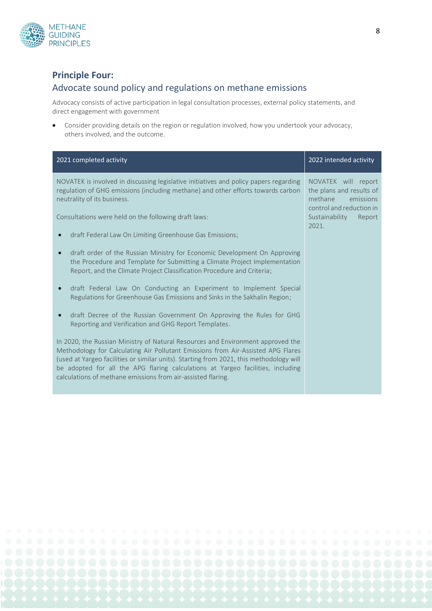

#### **Principle Four:**

#### Advocate sound policy and regulations on methane emissions

Advocacy consists of active participation in legal consultation processes, external policy statements, and direct engagement with government

• Consider providing details on the region or regulation involved, how you undertook your advocacy, others involved, and the outcome.

| 2021 completed activity                                                                                                                                                                                                                                                                                                                                                                                           | 2022 intended activity                                                                              |
|-------------------------------------------------------------------------------------------------------------------------------------------------------------------------------------------------------------------------------------------------------------------------------------------------------------------------------------------------------------------------------------------------------------------|-----------------------------------------------------------------------------------------------------|
| NOVATEK is involved in discussing legislative initiatives and policy papers regarding<br>regulation of GHG emissions (including methane) and other efforts towards carbon<br>neutrality of its business.                                                                                                                                                                                                          | NOVATEK will report<br>the plans and results of<br>methane<br>emissions<br>control and reduction in |
| Consultations were held on the following draft laws:                                                                                                                                                                                                                                                                                                                                                              | Sustainability<br>Report<br>2021.                                                                   |
| draft Federal Law On Limiting Greenhouse Gas Emissions;                                                                                                                                                                                                                                                                                                                                                           |                                                                                                     |
| draft order of the Russian Ministry for Economic Development On Approving<br>the Procedure and Template for Submitting a Climate Project Implementation<br>Report, and the Climate Project Classification Procedure and Criteria;                                                                                                                                                                                 |                                                                                                     |
| draft Federal Law On Conducting an Experiment to Implement Special<br>Regulations for Greenhouse Gas Emissions and Sinks in the Sakhalin Region;                                                                                                                                                                                                                                                                  |                                                                                                     |
| draft Decree of the Russian Government On Approving the Rules for GHG<br>Reporting and Verification and GHG Report Templates.                                                                                                                                                                                                                                                                                     |                                                                                                     |
| In 2020, the Russian Ministry of Natural Resources and Environment approved the<br>Methodology for Calculating Air Pollutant Emissions from Air-Assisted APG Flares<br>(used at Yargeo facilities or similar units). Starting from 2021, this methodology will<br>be adopted for all the APG flaring calculations at Yargeo facilities, including<br>calculations of methane emissions from air-assisted flaring. |                                                                                                     |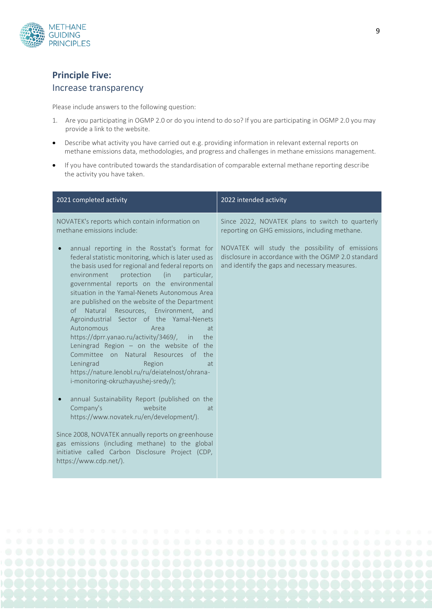

### **Principle Five:**

#### Increase transparency

Please include answers to the following question:

- 1. Are you participating in OGMP 2.0 or do you intend to do so? If you are participating in OGMP 2.0 you may provide a link to the website.
- Describe what activity you have carried out e.g. providing information in relevant external reports on methane emissions data, methodologies, and progress and challenges in methane emissions management.
- If you have contributed towards the standardisation of comparable external methane reporting describe the activity you have taken.

| 2021 completed activity                                                                                                                                                                                                                                                                                                                                                                                                                                                                                                                                                                                                                                                                                                                                                                                                                                                           | 2022 intended activity                                                                                                                                  |
|-----------------------------------------------------------------------------------------------------------------------------------------------------------------------------------------------------------------------------------------------------------------------------------------------------------------------------------------------------------------------------------------------------------------------------------------------------------------------------------------------------------------------------------------------------------------------------------------------------------------------------------------------------------------------------------------------------------------------------------------------------------------------------------------------------------------------------------------------------------------------------------|---------------------------------------------------------------------------------------------------------------------------------------------------------|
| NOVATEK's reports which contain information on<br>methane emissions include:                                                                                                                                                                                                                                                                                                                                                                                                                                                                                                                                                                                                                                                                                                                                                                                                      | Since 2022, NOVATEK plans to switch to quarterly<br>reporting on GHG emissions, including methane.                                                      |
| annual reporting in the Rosstat's format for<br>federal statistic monitoring, which is later used as<br>the basis used for regional and federal reports on<br>environment<br>protection<br>(in<br>particular,<br>governmental reports on the environmental<br>situation in the Yamal-Nenets Autonomous Area<br>are published on the website of the Department<br>of Natural<br>Resources, Environment, and<br>Agroindustrial Sector of the Yamal-Nenets<br>Autonomous<br>Area<br>at<br>https://dprr.yanao.ru/activity/3469/, in<br>the<br>Leningrad Region $-$ on the website of the<br>Committee on Natural Resources of the<br>Leningrad<br>Region<br>at<br>https://nature.lenobl.ru/ru/deiatelnost/ohrana-<br>i-monitoring-okruzhayushej-sredy/);<br>annual Sustainability Report (published on the<br>Company's<br>website<br>at.<br>https://www.novatek.ru/en/development/). | NOVATEK will study the possibility of emissions<br>disclosure in accordance with the OGMP 2.0 standard<br>and identify the gaps and necessary measures. |
| Since 2008, NOVATEK annually reports on greenhouse<br>gas emissions (including methane) to the global<br>initiative called Carbon Disclosure Project (CDP,<br>https://www.cdp.net/).                                                                                                                                                                                                                                                                                                                                                                                                                                                                                                                                                                                                                                                                                              |                                                                                                                                                         |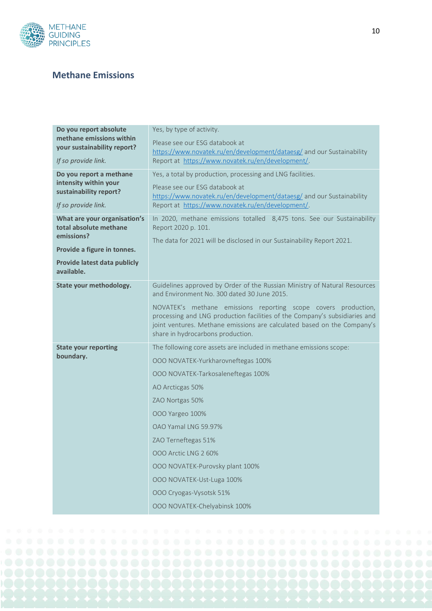

#### **Methane Emissions**

| Do you report absolute                                                                              | Yes, by type of activity.                                                                                                                                                                                                                                    |
|-----------------------------------------------------------------------------------------------------|--------------------------------------------------------------------------------------------------------------------------------------------------------------------------------------------------------------------------------------------------------------|
| methane emissions within<br>your sustainability report?                                             | Please see our ESG databook at                                                                                                                                                                                                                               |
| If so provide link.                                                                                 | https://www.novatek.ru/en/development/dataesg/ and our Sustainability<br>Report at https://www.novatek.ru/en/development/.                                                                                                                                   |
| Do you report a methane<br>intensity within your<br>sustainability report?<br>If so provide link.   | Yes, a total by production, processing and LNG facilities.<br>Please see our ESG databook at<br>https://www.novatek.ru/en/development/dataesg/ and our Sustainability<br>Report at https://www.novatek.ru/en/development/.                                   |
| What are your organisation's<br>total absolute methane<br>emissions?<br>Provide a figure in tonnes. | In 2020, methane emissions totalled 8,475 tons. See our Sustainability<br>Report 2020 p. 101.<br>The data for 2021 will be disclosed in our Sustainability Report 2021.                                                                                      |
| Provide latest data publicly<br>available.                                                          |                                                                                                                                                                                                                                                              |
| State your methodology.                                                                             | Guidelines approved by Order of the Russian Ministry of Natural Resources<br>and Environment No. 300 dated 30 June 2015.                                                                                                                                     |
|                                                                                                     | NOVATEK's methane emissions reporting scope covers production,<br>processing and LNG production facilities of the Company's subsidiaries and<br>joint ventures. Methane emissions are calculated based on the Company's<br>share in hydrocarbons production. |
| <b>State your reporting</b><br>boundary.                                                            | The following core assets are included in methane emissions scope:<br>OOO NOVATEK-Yurkharovneftegas 100%<br>000 NOVATEK-Tarkosaleneftegas 100%                                                                                                               |
|                                                                                                     | AO Arcticgas 50%                                                                                                                                                                                                                                             |
|                                                                                                     | ZAO Nortgas 50%                                                                                                                                                                                                                                              |
|                                                                                                     | 000 Yargeo 100%                                                                                                                                                                                                                                              |
|                                                                                                     | OAO Yamal LNG 59.97%                                                                                                                                                                                                                                         |
|                                                                                                     | ZAO Terneftegas 51%                                                                                                                                                                                                                                          |
|                                                                                                     | 000 Arctic LNG 2 60%                                                                                                                                                                                                                                         |
|                                                                                                     | OOO NOVATEK-Purovsky plant 100%                                                                                                                                                                                                                              |
|                                                                                                     | OOO NOVATEK-Ust-Luga 100%                                                                                                                                                                                                                                    |
|                                                                                                     | OOO Cryogas-Vysotsk 51%                                                                                                                                                                                                                                      |
|                                                                                                     | OOO NOVATEK-Chelyabinsk 100%                                                                                                                                                                                                                                 |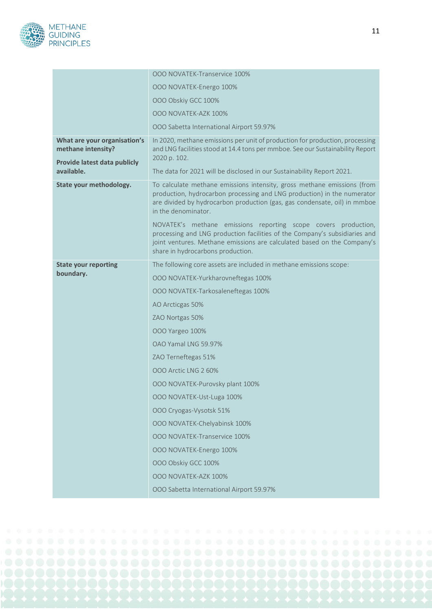

|                                                                                    | 000 NOVATEK-Transervice 100%                                                                                                                                                                                                                                 |
|------------------------------------------------------------------------------------|--------------------------------------------------------------------------------------------------------------------------------------------------------------------------------------------------------------------------------------------------------------|
|                                                                                    | OOO NOVATEK-Energo 100%                                                                                                                                                                                                                                      |
|                                                                                    | 000 Obskiy GCC 100%                                                                                                                                                                                                                                          |
|                                                                                    | OOO NOVATEK-AZK 100%                                                                                                                                                                                                                                         |
|                                                                                    | OOO Sabetta International Airport 59.97%                                                                                                                                                                                                                     |
| What are your organisation's<br>methane intensity?<br>Provide latest data publicly | In 2020, methane emissions per unit of production for production, processing<br>and LNG facilities stood at 14.4 tons per mmboe. See our Sustainability Report<br>2020 p. 102.                                                                               |
| available.                                                                         | The data for 2021 will be disclosed in our Sustainability Report 2021.                                                                                                                                                                                       |
| State your methodology.                                                            | To calculate methane emissions intensity, gross methane emissions (from<br>production, hydrocarbon processing and LNG production) in the numerator<br>are divided by hydrocarbon production (gas, gas condensate, oil) in mmboe<br>in the denominator.       |
|                                                                                    | NOVATEK's methane emissions reporting scope covers production,<br>processing and LNG production facilities of the Company's subsidiaries and<br>joint ventures. Methane emissions are calculated based on the Company's<br>share in hydrocarbons production. |
| <b>State your reporting</b><br>boundary.                                           | The following core assets are included in methane emissions scope:                                                                                                                                                                                           |
|                                                                                    | OOO NOVATEK-Yurkharovneftegas 100%                                                                                                                                                                                                                           |
|                                                                                    | 000 NOVATEK-Tarkosaleneftegas 100%                                                                                                                                                                                                                           |
|                                                                                    | AO Arcticgas 50%                                                                                                                                                                                                                                             |
|                                                                                    | ZAO Nortgas 50%                                                                                                                                                                                                                                              |
|                                                                                    | 000 Yargeo 100%                                                                                                                                                                                                                                              |
|                                                                                    | OAO Yamal LNG 59.97%                                                                                                                                                                                                                                         |
|                                                                                    | ZAO Terneftegas 51%                                                                                                                                                                                                                                          |
|                                                                                    | 000 Arctic LNG 2 60%                                                                                                                                                                                                                                         |
|                                                                                    | OOO NOVATEK-Purovsky plant 100%                                                                                                                                                                                                                              |
|                                                                                    | OOO NOVATEK-Ust-Luga 100%                                                                                                                                                                                                                                    |
|                                                                                    | OOO Cryogas-Vysotsk 51%                                                                                                                                                                                                                                      |
|                                                                                    | OOO NOVATEK-Chelyabinsk 100%                                                                                                                                                                                                                                 |
|                                                                                    | <b>OOO NOVATEK-Transervice 100%</b>                                                                                                                                                                                                                          |
|                                                                                    | OOO NOVATEK-Energo 100%                                                                                                                                                                                                                                      |
|                                                                                    | 000 Obskiy GCC 100%                                                                                                                                                                                                                                          |
|                                                                                    | OOO NOVATEK-AZK 100%                                                                                                                                                                                                                                         |
|                                                                                    | 000 Sabetta International Airport 59.97%                                                                                                                                                                                                                     |